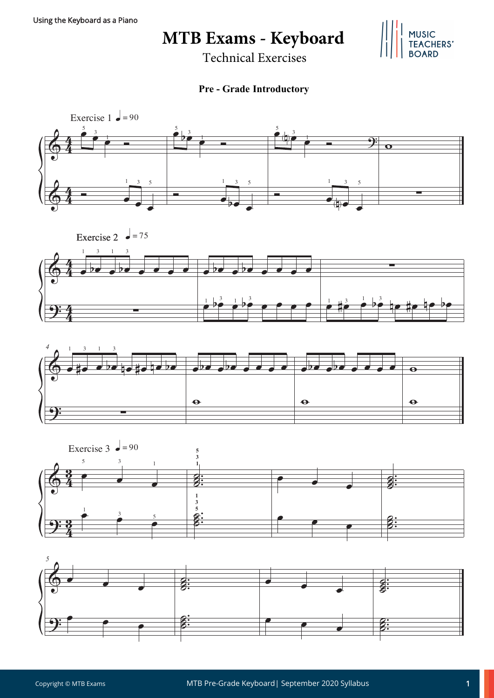**MTB Exams - Keyboard** 

Technical Exercises

## JSIC<br>ACHERS'

**Pre - Grade Introductory**









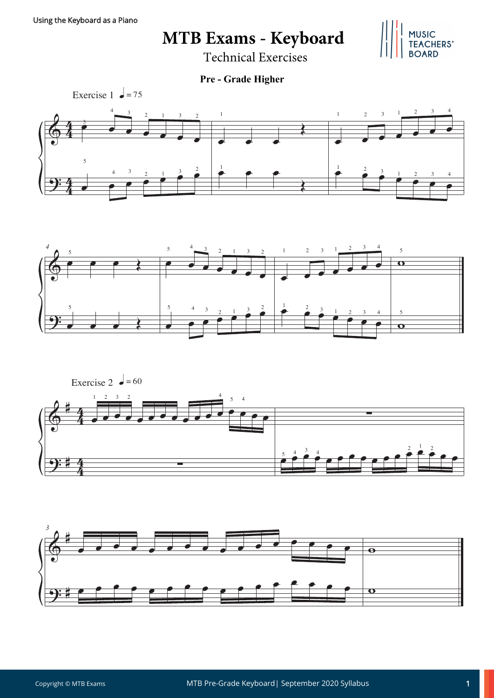**MTB Exams - Keyboard** 

MUSIC<br>TEACHERS'

Technical Exercises

**Pre - Grade Higher**